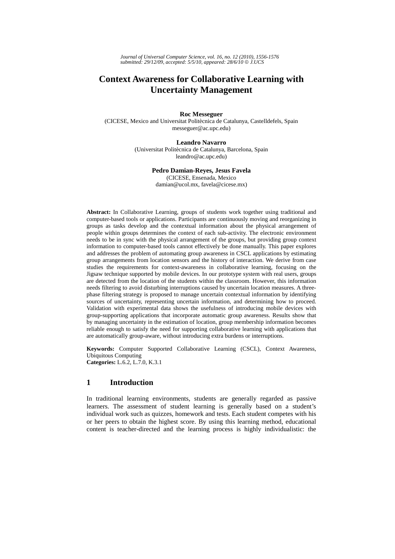*Journal of Universal Computer Science, vol. 16, no. 12 (2010), 1556-1576 submitted: 29/12/09, accepted: 5/5/10, appeared: 28/6/10* © *J.UCS*

# **Context Awareness for Collaborative Learning with Uncertainty Management**

**Roc Messeguer** 

(CICESE, Mexico and Universitat Politècnica de Catalunya, Castelldefels, Spain messeguer@ac.upc.edu)

#### **Leandro Navarro**

(Universitat Politècnica de Catalunya, Barcelona, Spain leandro@ac.upc.edu)

#### **Pedro Damian-Reyes, Jesus Favela**

(CICESE, Ensenada, Mexico damian@ucol.mx, favela@cicese.mx)

**Abstract:** In Collaborative Learning, groups of students work together using traditional and computer-based tools or applications. Participants are continuously moving and reorganizing in groups as tasks develop and the contextual information about the physical arrangement of people within groups determines the context of each sub-activity. The electronic environment needs to be in sync with the physical arrangement of the groups, but providing group context information to computer-based tools cannot effectively be done manually. This paper explores and addresses the problem of automating group awareness in CSCL applications by estimating group arrangements from location sensors and the history of interaction. We derive from case studies the requirements for context-awareness in collaborative learning, focusing on the Jigsaw technique supported by mobile devices. In our prototype system with real users, groups are detected from the location of the students within the classroom. However, this information needs filtering to avoid disturbing interruptions caused by uncertain location measures. A threephase filtering strategy is proposed to manage uncertain contextual information by identifying sources of uncertainty, representing uncertain information, and determining how to proceed. Validation with experimental data shows the usefulness of introducing mobile devices with group-supporting applications that incorporate automatic group awareness. Results show that by managing uncertainty in the estimation of location, group membership information becomes reliable enough to satisfy the need for supporting collaborative learning with applications that are automatically group-aware, without introducing extra burdens or interruptions.

**Keywords:** Computer Supported Collaborative Learning (CSCL), Context Awareness, Ubiquitous Computing **Categories:** L.6.2, L.7.0, K.3.1

# **1 Introduction**

In traditional learning environments, students are generally regarded as passive learners. The assessment of student learning is generally based on a student's individual work such as quizzes, homework and tests. Each student competes with his or her peers to obtain the highest score. By using this learning method, educational content is teacher-directed and the learning process is highly individualistic: the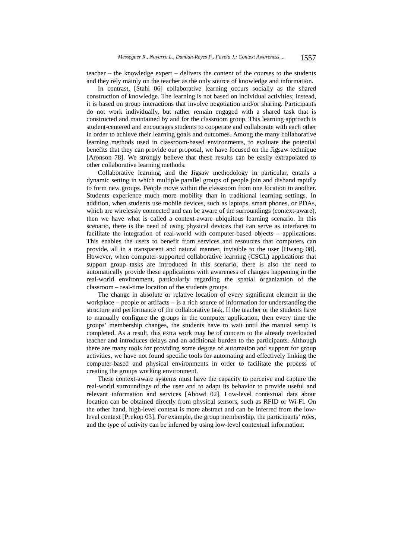teacher – the knowledge expert – delivers the content of the courses to the students and they rely mainly on the teacher as the only source of knowledge and information.

In contrast, [Stahl 06] collaborative learning occurs socially as the shared construction of knowledge. The learning is not based on individual activities; instead, it is based on group interactions that involve negotiation and/or sharing. Participants do not work individually, but rather remain engaged with a shared task that is constructed and maintained by and for the classroom group. This learning approach is student-centered and encourages students to cooperate and collaborate with each other in order to achieve their learning goals and outcomes. Among the many collaborative learning methods used in classroom-based environments, to evaluate the potential benefits that they can provide our proposal, we have focused on the Jigsaw technique [Aronson 78]. We strongly believe that these results can be easily extrapolated to other collaborative learning methods.

Collaborative learning, and the Jigsaw methodology in particular, entails a dynamic setting in which multiple parallel groups of people join and disband rapidly to form new groups. People move within the classroom from one location to another. Students experience much more mobility than in traditional learning settings. In addition, when students use mobile devices, such as laptops, smart phones, or PDAs, which are wirelessly connected and can be aware of the surroundings (context-aware), then we have what is called a context-aware ubiquitous learning scenario. In this scenario, there is the need of using physical devices that can serve as interfaces to facilitate the integration of real-world with computer-based objects – applications. This enables the users to benefit from services and resources that computers can provide, all in a transparent and natural manner, invisible to the user [Hwang 08]. However, when computer-supported collaborative learning (CSCL) applications that support group tasks are introduced in this scenario, there is also the need to automatically provide these applications with awareness of changes happening in the real-world environment, particularly regarding the spatial organization of the classroom – real-time location of the students groups.

The change in absolute or relative location of every significant element in the workplace – people or artifacts – is a rich source of information for understanding the structure and performance of the collaborative task. If the teacher or the students have to manually configure the groups in the computer application, then every time the groups' membership changes, the students have to wait until the manual setup is completed. As a result, this extra work may be of concern to the already overloaded teacher and introduces delays and an additional burden to the participants. Although there are many tools for providing some degree of automation and support for group activities, we have not found specific tools for automating and effectively linking the computer-based and physical environments in order to facilitate the process of creating the groups working environment.

These context-aware systems must have the capacity to perceive and capture the real-world surroundings of the user and to adapt its behavior to provide useful and relevant information and services [Abowd 02]. Low-level contextual data about location can be obtained directly from physical sensors, such as RFID or Wi-Fi. On the other hand, high-level context is more abstract and can be inferred from the lowlevel context [Prekop 03]. For example, the group membership, the participants' roles, and the type of activity can be inferred by using low-level contextual information.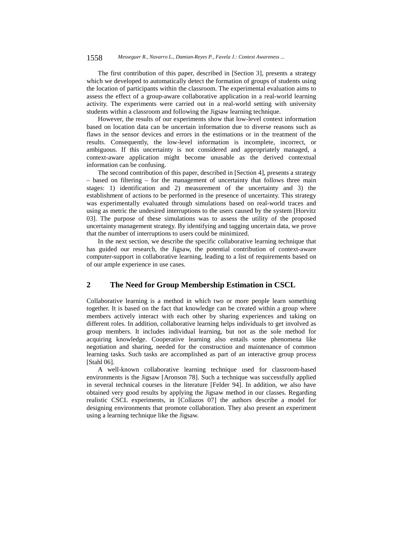#### 1558 *Messeguer R., Navarro L., Damian-Reyes P., Favela J.: Context Awareness ...*

The first contribution of this paper, described in [Section 3], presents a strategy which we developed to automatically detect the formation of groups of students using the location of participants within the classroom. The experimental evaluation aims to assess the effect of a group-aware collaborative application in a real-world learning activity. The experiments were carried out in a real-world setting with university students within a classroom and following the Jigsaw learning technique.

However, the results of our experiments show that low-level context information based on location data can be uncertain information due to diverse reasons such as flaws in the sensor devices and errors in the estimations or in the treatment of the results. Consequently, the low-level information is incomplete, incorrect, or ambiguous. If this uncertainty is not considered and appropriately managed, a context-aware application might become unusable as the derived contextual information can be confusing.

The second contribution of this paper, described in [Section 4], presents a strategy – based on filtering – for the management of uncertainty that follows three main stages: 1) identification and 2) measurement of the uncertainty and 3) the establishment of actions to be performed in the presence of uncertainty. This strategy was experimentally evaluated through simulations based on real-world traces and using as metric the undesired interruptions to the users caused by the system [Horvitz 03]. The purpose of these simulations was to assess the utility of the proposed uncertainty management strategy. By identifying and tagging uncertain data, we prove that the number of interruptions to users could be minimized.

In the next section, we describe the specific collaborative learning technique that has guided our research, the Jigsaw, the potential contribution of context-aware computer-support in collaborative learning, leading to a list of requirements based on of our ample experience in use cases.

# **2 The Need for Group Membership Estimation in CSCL**

Collaborative learning is a method in which two or more people learn something together. It is based on the fact that knowledge can be created within a group where members actively interact with each other by sharing experiences and taking on different roles. In addition, collaborative learning helps individuals to get involved as group members. It includes individual learning, but not as the sole method for acquiring knowledge. Cooperative learning also entails some phenomena like negotiation and sharing, needed for the construction and maintenance of common learning tasks. Such tasks are accomplished as part of an interactive group process [Stahl 06].

A well-known collaborative learning technique used for classroom-based environments is the Jigsaw [Aronson 78]. Such a technique was successfully applied in several technical courses in the literature [Felder 94]. In addition, we also have obtained very good results by applying the Jigsaw method in our classes. Regarding realistic CSCL experiments, in [Collazos 07] the authors describe a model for designing environments that promote collaboration. They also present an experiment using a learning technique like the Jigsaw.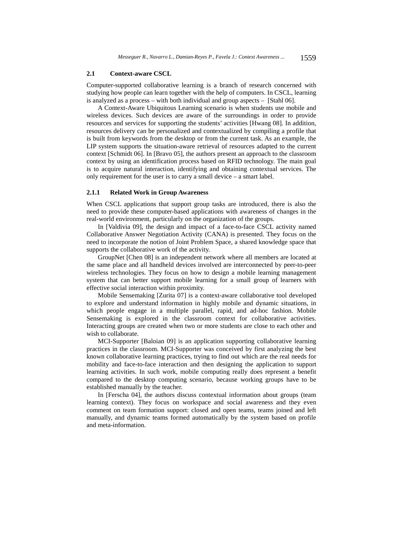#### **2.1 Context-aware CSCL**

Computer-supported collaborative learning is a branch of research concerned with studying how people can learn together with the help of computers. In CSCL, learning is analyzed as a process – with both individual and group aspects – [Stahl 06].

A Context-Aware Ubiquitous Learning scenario is when students use mobile and wireless devices. Such devices are aware of the surroundings in order to provide resources and services for supporting the students' activities [Hwang 08]. In addition, resources delivery can be personalized and contextualized by compiling a profile that is built from keywords from the desktop or from the current task. As an example, the LIP system supports the situation-aware retrieval of resources adapted to the current context [Schmidt 06]. In [Bravo 05], the authors present an approach to the classroom context by using an identification process based on RFID technology. The main goal is to acquire natural interaction, identifying and obtaining contextual services. The only requirement for the user is to carry a small device – a smart label.

### **2.1.1 Related Work in Group Awareness**

When CSCL applications that support group tasks are introduced, there is also the need to provide these computer-based applications with awareness of changes in the real-world environment, particularly on the organization of the groups.

In [Valdivia 09], the design and impact of a face-to-face CSCL activity named Collaborative Answer Negotiation Activity (CANA) is presented. They focus on the need to incorporate the notion of Joint Problem Space, a shared knowledge space that supports the collaborative work of the activity.

GroupNet [Chen 08] is an independent network where all members are located at the same place and all handheld devices involved are interconnected by peer-to-peer wireless technologies. They focus on how to design a mobile learning management system that can better support mobile learning for a small group of learners with effective social interaction within proximity.

Mobile Sensemaking [Zurita 07] is a context-aware collaborative tool developed to explore and understand information in highly mobile and dynamic situations, in which people engage in a multiple parallel, rapid, and ad-hoc fashion. Mobile Sensemaking is explored in the classroom context for collaborative activities. Interacting groups are created when two or more students are close to each other and wish to collaborate.

MCI-Supporter [Baloian 09] is an application supporting collaborative learning practices in the classroom. MCI-Supporter was conceived by first analyzing the best known collaborative learning practices, trying to find out which are the real needs for mobility and face-to-face interaction and then designing the application to support learning activities. In such work, mobile computing really does represent a benefit compared to the desktop computing scenario, because working groups have to be established manually by the teacher.

In [Ferscha 04], the authors discuss contextual information about groups (team learning context). They focus on workspace and social awareness and they even comment on team formation support: closed and open teams, teams joined and left manually, and dynamic teams formed automatically by the system based on profile and meta-information.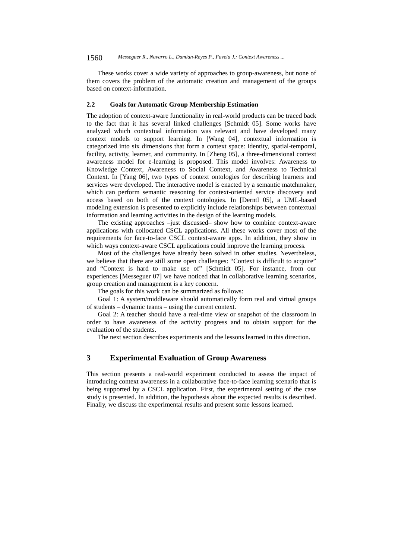These works cover a wide variety of approaches to group-awareness, but none of them covers the problem of the automatic creation and management of the groups based on context-information.

#### **2.2 Goals for Automatic Group Membership Estimation**

The adoption of context-aware functionality in real-world products can be traced back to the fact that it has several linked challenges [Schmidt 05]. Some works have analyzed which contextual information was relevant and have developed many context models to support learning. In [Wang 04], contextual information is categorized into six dimensions that form a context space: identity, spatial-temporal, facility, activity, learner, and community. In [Zheng 05], a three-dimensional context awareness model for e-learning is proposed. This model involves: Awareness to Knowledge Context, Awareness to Social Context, and Awareness to Technical Context. In [Yang 06], two types of context ontologies for describing learners and services were developed. The interactive model is enacted by a semantic matchmaker, which can perform semantic reasoning for context-oriented service discovery and access based on both of the context ontologies. In [Derntl 05], a UML-based modeling extension is presented to explicitly include relationships between contextual information and learning activities in the design of the learning models.

The existing approaches –just discussed– show how to combine context-aware applications with collocated CSCL applications. All these works cover most of the requirements for face-to-face CSCL context-aware apps. In addition, they show in which ways context-aware CSCL applications could improve the learning process.

Most of the challenges have already been solved in other studies. Nevertheless, we believe that there are still some open challenges: "Context is difficult to acquire" and "Context is hard to make use of" [Schmidt 05]. For instance, from our experiences [Messeguer 07] we have noticed that in collaborative learning scenarios, group creation and management is a key concern.

The goals for this work can be summarized as follows:

Goal 1: A system/middleware should automatically form real and virtual groups of students – dynamic teams – using the current context.

Goal 2: A teacher should have a real-time view or snapshot of the classroom in order to have awareness of the activity progress and to obtain support for the evaluation of the students.

The next section describes experiments and the lessons learned in this direction.

### **3 Experimental Evaluation of Group Awareness**

This section presents a real-world experiment conducted to assess the impact of introducing context awareness in a collaborative face-to-face learning scenario that is being supported by a CSCL application. First, the experimental setting of the case study is presented. In addition, the hypothesis about the expected results is described. Finally, we discuss the experimental results and present some lessons learned.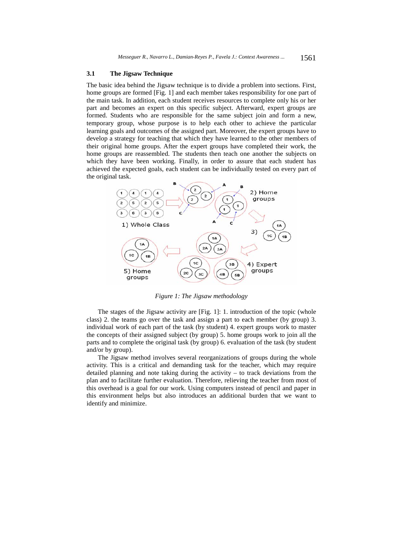### **3.1 The Jigsaw Technique**

The basic idea behind the Jigsaw technique is to divide a problem into sections. First, home groups are formed [Fig. 1] and each member takes responsibility for one part of the main task. In addition, each student receives resources to complete only his or her part and becomes an expert on this specific subject. Afterward, expert groups are formed. Students who are responsible for the same subject join and form a new, temporary group, whose purpose is to help each other to achieve the particular learning goals and outcomes of the assigned part. Moreover, the expert groups have to develop a strategy for teaching that which they have learned to the other members of their original home groups. After the expert groups have completed their work, the home groups are reassembled. The students then teach one another the subjects on which they have been working. Finally, in order to assure that each student has achieved the expected goals, each student can be individually tested on every part of the original task.



*Figure 1: The Jigsaw methodology* 

The stages of the Jigsaw activity are [Fig. 1]: 1. introduction of the topic (whole class) 2. the teams go over the task and assign a part to each member (by group) 3. individual work of each part of the task (by student) 4. expert groups work to master the concepts of their assigned subject (by group) 5. home groups work to join all the parts and to complete the original task (by group) 6. evaluation of the task (by student and/or by group).

The Jigsaw method involves several reorganizations of groups during the whole activity. This is a critical and demanding task for the teacher, which may require detailed planning and note taking during the activity – to track deviations from the plan and to facilitate further evaluation. Therefore, relieving the teacher from most of this overhead is a goal for our work. Using computers instead of pencil and paper in this environment helps but also introduces an additional burden that we want to identify and minimize.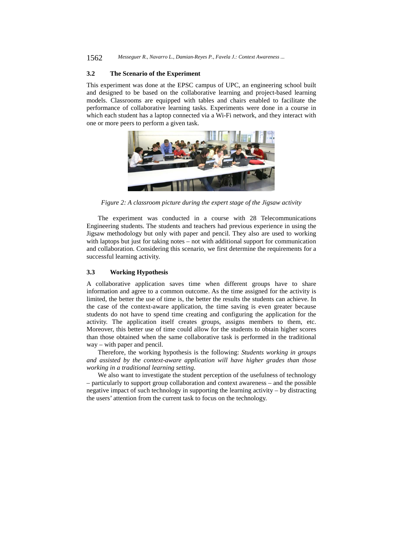#### **3.2 The Scenario of the Experiment**

This experiment was done at the EPSC campus of UPC, an engineering school built and designed to be based on the collaborative learning and project-based learning models. Classrooms are equipped with tables and chairs enabled to facilitate the performance of collaborative learning tasks. Experiments were done in a course in which each student has a laptop connected via a Wi-Fi network, and they interact with one or more peers to perform a given task.



*Figure 2: A classroom picture during the expert stage of the Jigsaw activity* 

The experiment was conducted in a course with 28 Telecommunications Engineering students. The students and teachers had previous experience in using the Jigsaw methodology but only with paper and pencil. They also are used to working with laptops but just for taking notes – not with additional support for communication and collaboration. Considering this scenario, we first determine the requirements for a successful learning activity.

### **3.3 Working Hypothesis**

A collaborative application saves time when different groups have to share information and agree to a common outcome. As the time assigned for the activity is limited, the better the use of time is, the better the results the students can achieve. In the case of the context-aware application, the time saving is even greater because students do not have to spend time creating and configuring the application for the activity. The application itself creates groups, assigns members to them, etc. Moreover, this better use of time could allow for the students to obtain higher scores than those obtained when the same collaborative task is performed in the traditional way – with paper and pencil.

Therefore, the working hypothesis is the following: *Students working in groups and assisted by the context-aware application will have higher grades than those working in a traditional learning setting*.

We also want to investigate the student perception of the usefulness of technology – particularly to support group collaboration and context awareness – and the possible negative impact of such technology in supporting the learning activity – by distracting the users' attention from the current task to focus on the technology.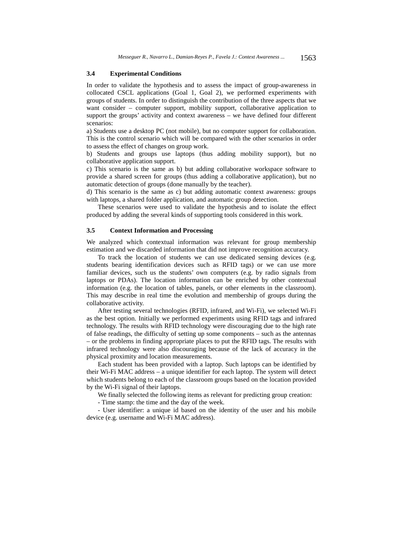#### **3.4 Experimental Conditions**

In order to validate the hypothesis and to assess the impact of group-awareness in collocated CSCL applications (Goal 1, Goal 2), we performed experiments with groups of students. In order to distinguish the contribution of the three aspects that we want consider – computer support, mobility support, collaborative application to support the groups' activity and context awareness – we have defined four different scenarios:

a) Students use a desktop PC (not mobile), but no computer support for collaboration. This is the control scenario which will be compared with the other scenarios in order to assess the effect of changes on group work.

b) Students and groups use laptops (thus adding mobility support), but no collaborative application support.

c) This scenario is the same as b) but adding collaborative workspace software to provide a shared screen for groups (thus adding a collaborative application), but no automatic detection of groups (done manually by the teacher).

d) This scenario is the same as c) but adding automatic context awareness: groups with laptops, a shared folder application, and automatic group detection.

These scenarios were used to validate the hypothesis and to isolate the effect produced by adding the several kinds of supporting tools considered in this work.

#### **3.5 Context Information and Processing**

We analyzed which contextual information was relevant for group membership estimation and we discarded information that did not improve recognition accuracy.

To track the location of students we can use dedicated sensing devices (e.g. students bearing identification devices such as RFID tags) or we can use more familiar devices, such us the students' own computers (e.g. by radio signals from laptops or PDAs). The location information can be enriched by other contextual information (e.g. the location of tables, panels, or other elements in the classroom). This may describe in real time the evolution and membership of groups during the collaborative activity.

After testing several technologies (RFID, infrared, and Wi-Fi), we selected Wi-Fi as the best option. Initially we performed experiments using RFID tags and infrared technology. The results with RFID technology were discouraging due to the high rate of false readings, the difficulty of setting up some components – such as the antennas – or the problems in finding appropriate places to put the RFID tags. The results with infrared technology were also discouraging because of the lack of accuracy in the physical proximity and location measurements.

Each student has been provided with a laptop. Such laptops can be identified by their Wi-Fi MAC address – a unique identifier for each laptop. The system will detect which students belong to each of the classroom groups based on the location provided by the Wi-Fi signal of their laptops.

We finally selected the following items as relevant for predicting group creation:

- Time stamp: the time and the day of the week.

- User identifier: a unique id based on the identity of the user and his mobile device (e.g. username and Wi-Fi MAC address).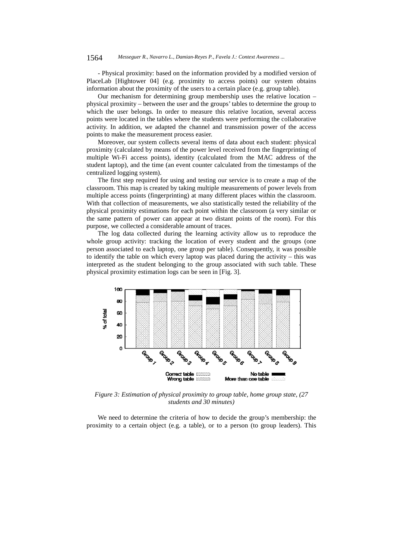- Physical proximity: based on the information provided by a modified version of PlaceLab [Hightower 04] (e.g. proximity to access points) our system obtains information about the proximity of the users to a certain place (e.g. group table).

Our mechanism for determining group membership uses the relative location – physical proximity – between the user and the groups' tables to determine the group to which the user belongs. In order to measure this relative location, several access points were located in the tables where the students were performing the collaborative activity. In addition, we adapted the channel and transmission power of the access points to make the measurement process easier.

Moreover, our system collects several items of data about each student: physical proximity (calculated by means of the power level received from the fingerprinting of multiple Wi-Fi access points), identity (calculated from the MAC address of the student laptop), and the time (an event counter calculated from the timestamps of the centralized logging system).

The first step required for using and testing our service is to create a map of the classroom. This map is created by taking multiple measurements of power levels from multiple access points (fingerprinting) at many different places within the classroom. With that collection of measurements, we also statistically tested the reliability of the physical proximity estimations for each point within the classroom (a very similar or the same pattern of power can appear at two distant points of the room). For this purpose, we collected a considerable amount of traces.

The log data collected during the learning activity allow us to reproduce the whole group activity: tracking the location of every student and the groups (one person associated to each laptop, one group per table). Consequently, it was possible to identify the table on which every laptop was placed during the activity – this was interpreted as the student belonging to the group associated with such table. These physical proximity estimation logs can be seen in [Fig. 3].



*Figure 3: Estimation of physical proximity to group table, home group state, (27 students and 30 minutes)* 

We need to determine the criteria of how to decide the group's membership: the proximity to a certain object (e.g. a table), or to a person (to group leaders). This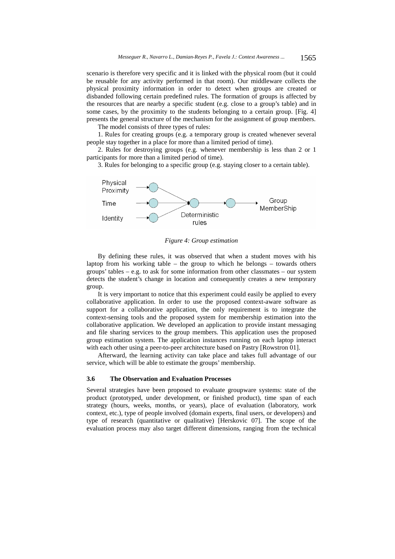scenario is therefore very specific and it is linked with the physical room (but it could be reusable for any activity performed in that room). Our middleware collects the physical proximity information in order to detect when groups are created or disbanded following certain predefined rules. The formation of groups is affected by the resources that are nearby a specific student (e.g. close to a group's table) and in some cases, by the proximity to the students belonging to a certain group. [Fig. 4] presents the general structure of the mechanism for the assignment of group members.

The model consists of three types of rules:

1. Rules for creating groups (e.g. a temporary group is created whenever several people stay together in a place for more than a limited period of time).

2. Rules for destroying groups (e.g. whenever membership is less than 2 or 1 participants for more than a limited period of time).

3. Rules for belonging to a specific group (e.g. staying closer to a certain table).



*Figure 4: Group estimation* 

By defining these rules, it was observed that when a student moves with his laptop from his working table – the group to which he belongs – towards others groups' tables – e.g. to ask for some information from other classmates – our system detects the student's change in location and consequently creates a new temporary group.

It is very important to notice that this experiment could easily be applied to every collaborative application. In order to use the proposed context-aware software as support for a collaborative application, the only requirement is to integrate the context-sensing tools and the proposed system for membership estimation into the collaborative application. We developed an application to provide instant messaging and file sharing services to the group members. This application uses the proposed group estimation system. The application instances running on each laptop interact with each other using a peer-to-peer architecture based on Pastry [Rowstron 01].

Afterward, the learning activity can take place and takes full advantage of our service, which will be able to estimate the groups' membership.

#### **3.6 The Observation and Evaluation Processes**

Several strategies have been proposed to evaluate groupware systems: state of the product (prototyped, under development, or finished product), time span of each strategy (hours, weeks, months, or years), place of evaluation (laboratory, work context, etc.), type of people involved (domain experts, final users, or developers) and type of research (quantitative or qualitative) [Herskovic 07]. The scope of the evaluation process may also target different dimensions, ranging from the technical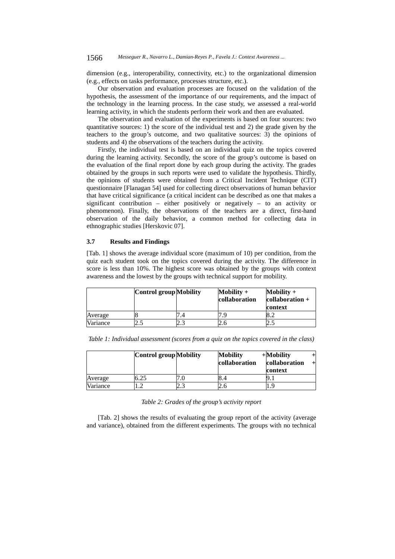dimension (e.g., interoperability, connectivity, etc.) to the organizational dimension (e.g., effects on tasks performance, processes structure, etc.).

Our observation and evaluation processes are focused on the validation of the hypothesis, the assessment of the importance of our requirements, and the impact of the technology in the learning process. In the case study, we assessed a real-world learning activity, in which the students perform their work and then are evaluated.

The observation and evaluation of the experiments is based on four sources: two quantitative sources: 1) the score of the individual test and 2) the grade given by the teachers to the group's outcome, and two qualitative sources: 3) the opinions of students and 4) the observations of the teachers during the activity.

Firstly, the individual test is based on an individual quiz on the topics covered during the learning activity. Secondly, the score of the group's outcome is based on the evaluation of the final report done by each group during the activity. The grades obtained by the groups in such reports were used to validate the hypothesis. Thirdly, the opinions of students were obtained from a Critical Incident Technique (CIT) questionnaire [Flanagan 54] used for collecting direct observations of human behavior that have critical significance (a critical incident can be described as one that makes a significant contribution – either positively or negatively – to an activity or phenomenon). Finally, the observations of the teachers are a direct, first-hand observation of the daily behavior, a common method for collecting data in ethnographic studies [Herskovic 07].

#### **3.7 Results and Findings**

[Tab. 1] shows the average individual score (maximum of 10) per condition, from the quiz each student took on the topics covered during the activity. The difference in score is less than 10%. The highest score was obtained by the groups with context awareness and the lowest by the groups with technical support for mobility.

|          | Control group Mobility |   | Mobility $+$<br>collaboration | $\text{Mobility} +$<br>collaboration +<br>context |
|----------|------------------------|---|-------------------------------|---------------------------------------------------|
| Average  |                        |   | u                             | ے .∠                                              |
| Variance | ــ                     | ر | ۷.C                           | ن ک                                               |

*Table 1: Individual assessment (scores from a quiz on the topics covered in the class)* 

|          | Control group Mobility |     | <b>Mobility</b><br>collaboration | $+$ Mobility<br>collaboration<br>context |
|----------|------------------------|-----|----------------------------------|------------------------------------------|
| Average  | 6.25                   |     | 8.4                              |                                          |
| Variance |                        | ت ک | ۷.C                              | 9.ا                                      |

*Table 2: Grades of the group's activity report* 

[Tab. 2] shows the results of evaluating the group report of the activity (average and variance), obtained from the different experiments. The groups with no technical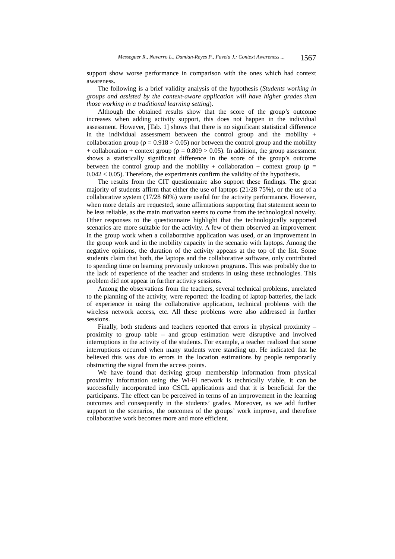support show worse performance in comparison with the ones which had context awareness.

The following is a brief validity analysis of the hypothesis (*Students working in groups and assisted by the context-aware application will have higher grades than those working in a traditional learning setting*).

Although the obtained results show that the score of the group's outcome increases when adding activity support, this does not happen in the individual assessment. However, [Tab. 1] shows that there is no significant statistical difference in the individual assessment between the control group and the mobility  $+$ collaboration group ( $\rho = 0.918 > 0.05$ ) nor between the control group and the mobility + collaboration + context group ( $\rho = 0.809 > 0.05$ ). In addition, the group assessment shows a statistically significant difference in the score of the group's outcome between the control group and the mobility + collaboration + context group ( $\rho$  =  $0.042 < 0.05$ ). Therefore, the experiments confirm the validity of the hypothesis.

The results from the CIT questionnaire also support these findings. The great majority of students affirm that either the use of laptops (21/28 75%), or the use of a collaborative system (17/28 60%) were useful for the activity performance. However, when more details are requested, some affirmations supporting that statement seem to be less reliable, as the main motivation seems to come from the technological novelty. Other responses to the questionnaire highlight that the technologically supported scenarios are more suitable for the activity. A few of them observed an improvement in the group work when a collaborative application was used, or an improvement in the group work and in the mobility capacity in the scenario with laptops. Among the negative opinions, the duration of the activity appears at the top of the list. Some students claim that both, the laptops and the collaborative software, only contributed to spending time on learning previously unknown programs. This was probably due to the lack of experience of the teacher and students in using these technologies. This problem did not appear in further activity sessions.

Among the observations from the teachers, several technical problems, unrelated to the planning of the activity, were reported: the loading of laptop batteries, the lack of experience in using the collaborative application, technical problems with the wireless network access, etc. All these problems were also addressed in further sessions.

Finally, both students and teachers reported that errors in physical proximity – proximity to group table – and group estimation were disruptive and involved interruptions in the activity of the students. For example, a teacher realized that some interruptions occurred when many students were standing up. He indicated that he believed this was due to errors in the location estimations by people temporarily obstructing the signal from the access points.

We have found that deriving group membership information from physical proximity information using the Wi-Fi network is technically viable, it can be successfully incorporated into CSCL applications and that it is beneficial for the participants. The effect can be perceived in terms of an improvement in the learning outcomes and consequently in the students' grades. Moreover, as we add further support to the scenarios, the outcomes of the groups' work improve, and therefore collaborative work becomes more and more efficient.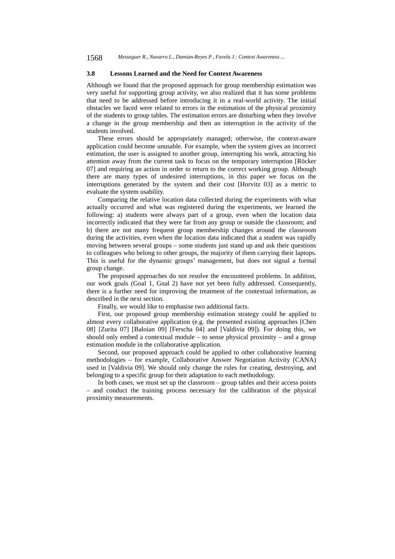1568 *Messeguer R., Navarro L., Damian-Reyes P., Favela J.: Context Awareness ...*

#### **3.8 Lessons Learned and the Need for Context Awareness**

Although we found that the proposed approach for group membership estimation was very useful for supporting group activity, we also realized that it has some problems that need to be addressed before introducing it in a real-world activity. The initial obstacles we faced were related to errors in the estimation of the physical proximity of the students to group tables. The estimation errors are disturbing when they involve a change in the group membership and then an interruption in the activity of the students involved.

These errors should be appropriately managed; otherwise, the context-aware application could become unusable. For example, when the system gives an incorrect estimation, the user is assigned to another group, interrupting his work, attracting his attention away from the current task to focus on the temporary interruption [Röcker 07] and requiring an action in order to return to the correct working group. Although there are many types of undesired interruptions, in this paper we focus on the interruptions generated by the system and their cost [Horvitz 03] as a metric to evaluate the system usability.

Comparing the relative location data collected during the experiments with what actually occurred and what was registered during the experiments, we learned the following: a) students were always part of a group, even when the location data incorrectly indicated that they were far from any group or outside the classroom; and b) there are not many frequent group membership changes around the classroom during the activities, even when the location data indicated that a student was rapidly moving between several groups – some students just stand up and ask their questions to colleagues who belong to other groups, the majority of them carrying their laptops. This is useful for the dynamic groups' management, but does not signal a formal group change.

The proposed approaches do not resolve the encountered problems. In addition, our work goals (Goal 1, Goal 2) have not yet been fully addressed. Consequently, there is a further need for improving the treatment of the contextual information, as described in the next section.

Finally, we would like to emphasise two additional facts.

First, our proposed group membership estimation strategy could be applied to almost every collaborative application (e.g. the presented existing approaches [Chen 08] [Zurita 07] [Baloian 09] [Ferscha 04] and [Valdivia 09]). For doing this, we should only embed a contextual module – to sense physical proximity – and a group estimation module in the collaborative application.

Second, our proposed approach could be applied to other collaborative learning methodologies – for example, Collaborative Answer Negotiation Activity (CANA) used in [Valdivia 09]. We should only change the rules for creating, destroying, and belonging to a specific group for their adaptation to each methodology.

In both cases, we must set up the classroom – group tables and their access points – and conduct the training process necessary for the calibration of the physical proximity measurements.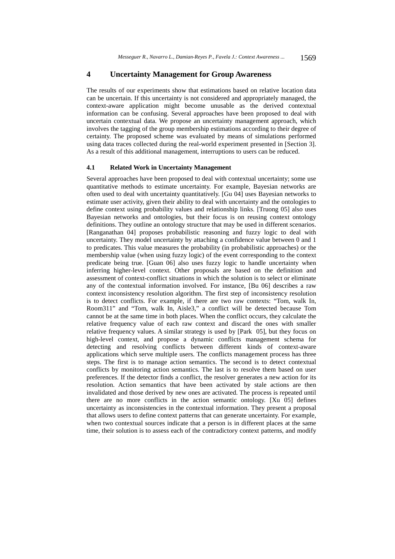### **4 Uncertainty Management for Group Awareness**

The results of our experiments show that estimations based on relative location data can be uncertain. If this uncertainty is not considered and appropriately managed, the context-aware application might become unusable as the derived contextual information can be confusing. Several approaches have been proposed to deal with uncertain contextual data. We propose an uncertainty management approach, which involves the tagging of the group membership estimations according to their degree of certainty. The proposed scheme was evaluated by means of simulations performed using data traces collected during the real-world experiment presented in [Section 3]. As a result of this additional management, interruptions to users can be reduced.

#### **4.1 Related Work in Uncertainty Management**

Several approaches have been proposed to deal with contextual uncertainty; some use quantitative methods to estimate uncertainty. For example, Bayesian networks are often used to deal with uncertainty quantitatively. [Gu 04] uses Bayesian networks to estimate user activity, given their ability to deal with uncertainty and the ontologies to define context using probability values and relationship links. [Truong 05] also uses Bayesian networks and ontologies, but their focus is on reusing context ontology definitions. They outline an ontology structure that may be used in different scenarios. [Ranganathan 04] proposes probabilistic reasoning and fuzzy logic to deal with uncertainty. They model uncertainty by attaching a confidence value between 0 and 1 to predicates. This value measures the probability (in probabilistic approaches) or the membership value (when using fuzzy logic) of the event corresponding to the context predicate being true. [Guan 06] also uses fuzzy logic to handle uncertainty when inferring higher-level context. Other proposals are based on the definition and assessment of context-conflict situations in which the solution is to select or eliminate any of the contextual information involved. For instance, [Bu 06] describes a raw context inconsistency resolution algorithm. The first step of inconsistency resolution is to detect conflicts. For example, if there are two raw contexts: "Tom, walk In, Room311" and "Tom, walk In, Aisle3," a conflict will be detected because Tom cannot be at the same time in both places. When the conflict occurs, they calculate the relative frequency value of each raw context and discard the ones with smaller relative frequency values. A similar strategy is used by [Park 05], but they focus on high-level context, and propose a dynamic conflicts management schema for detecting and resolving conflicts between different kinds of context-aware applications which serve multiple users. The conflicts management process has three steps. The first is to manage action semantics. The second is to detect contextual conflicts by monitoring action semantics. The last is to resolve them based on user preferences. If the detector finds a conflict, the resolver generates a new action for its resolution. Action semantics that have been activated by stale actions are then invalidated and those derived by new ones are activated. The process is repeated until there are no more conflicts in the action semantic ontology. [Xu 05] defines uncertainty as inconsistencies in the contextual information. They present a proposal that allows users to define context patterns that can generate uncertainty. For example, when two contextual sources indicate that a person is in different places at the same time, their solution is to assess each of the contradictory context patterns, and modify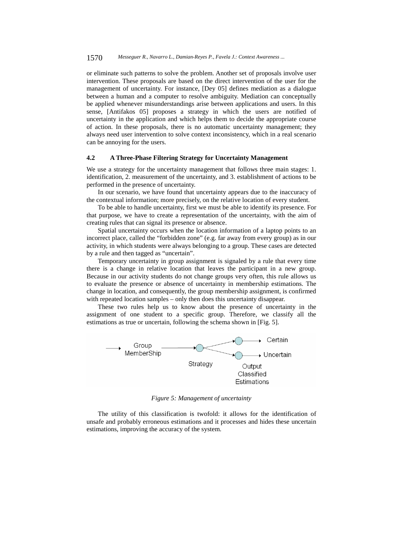or eliminate such patterns to solve the problem. Another set of proposals involve user intervention. These proposals are based on the direct intervention of the user for the management of uncertainty. For instance, [Dey 05] defines mediation as a dialogue between a human and a computer to resolve ambiguity. Mediation can conceptually be applied whenever misunderstandings arise between applications and users. In this sense, [Antifakos 05] proposes a strategy in which the users are notified of uncertainty in the application and which helps them to decide the appropriate course of action. In these proposals, there is no automatic uncertainty management; they always need user intervention to solve context inconsistency, which in a real scenario can be annoying for the users.

#### **4.2 A Three-Phase Filtering Strategy for Uncertainty Management**

We use a strategy for the uncertainty management that follows three main stages: 1. identification, 2. measurement of the uncertainty, and 3. establishment of actions to be performed in the presence of uncertainty.

In our scenario, we have found that uncertainty appears due to the inaccuracy of the contextual information; more precisely, on the relative location of every student.

To be able to handle uncertainty, first we must be able to identify its presence. For that purpose, we have to create a representation of the uncertainty, with the aim of creating rules that can signal its presence or absence.

Spatial uncertainty occurs when the location information of a laptop points to an incorrect place, called the "forbidden zone" (e.g. far away from every group) as in our activity, in which students were always belonging to a group. These cases are detected by a rule and then tagged as "uncertain".

Temporary uncertainty in group assignment is signaled by a rule that every time there is a change in relative location that leaves the participant in a new group. Because in our activity students do not change groups very often, this rule allows us to evaluate the presence or absence of uncertainty in membership estimations. The change in location, and consequently, the group membership assignment, is confirmed with repeated location samples – only then does this uncertainty disappear.

These two rules help us to know about the presence of uncertainty in the assignment of one student to a specific group. Therefore, we classify all the estimations as true or uncertain, following the schema shown in [Fig. 5].



*Figure 5: Management of uncertainty* 

The utility of this classification is twofold: it allows for the identification of unsafe and probably erroneous estimations and it processes and hides these uncertain estimations, improving the accuracy of the system.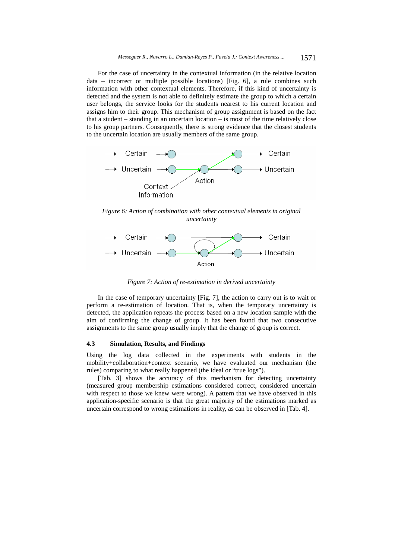For the case of uncertainty in the contextual information (in the relative location data – incorrect or multiple possible locations) [Fig. 6], a rule combines such information with other contextual elements. Therefore, if this kind of uncertainty is detected and the system is not able to definitely estimate the group to which a certain user belongs, the service looks for the students nearest to his current location and assigns him to their group. This mechanism of group assignment is based on the fact that a student – standing in an uncertain location – is most of the time relatively close to his group partners. Consequently, there is strong evidence that the closest students to the uncertain location are usually members of the same group.



*Figure 6: Action of combination with other contextual elements in original uncertainty* 



*Figure 7: Action of re-estimation in derived uncertainty* 

In the case of temporary uncertainty [Fig. 7], the action to carry out is to wait or perform a re-estimation of location. That is, when the temporary uncertainty is detected, the application repeats the process based on a new location sample with the aim of confirming the change of group. It has been found that two consecutive assignments to the same group usually imply that the change of group is correct.

#### **4.3 Simulation, Results, and Findings**

Using the log data collected in the experiments with students in the mobility+collaboration+context scenario, we have evaluated our mechanism (the rules) comparing to what really happened (the ideal or "true logs").

[Tab. 3] shows the accuracy of this mechanism for detecting uncertainty (measured group membership estimations considered correct, considered uncertain with respect to those we knew were wrong). A pattern that we have observed in this application-specific scenario is that the great majority of the estimations marked as uncertain correspond to wrong estimations in reality, as can be observed in [Tab. 4].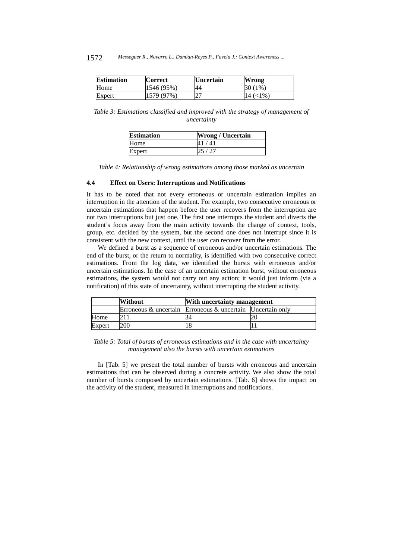| <b>Estimation</b> | <b>Correct</b> | <b>Uncertain</b> | Wrong           |
|-------------------|----------------|------------------|-----------------|
| Home              | $1546(95\%)$   | 44               | 30 (<br>$1\%$ . |
| Expert            | 1579 (97%)     | 27               | 14 (<1%)        |

*Table 3: Estimations classified and improved with the strategy of management of uncertainty* 

| <b>Estimation</b> | <b>Wrong / Uncertain</b> |
|-------------------|--------------------------|
| Home              | 41 / 41                  |
| Expert            | 25 / 27                  |

*Table 4: Relationship of wrong estimations among those marked as uncertain* 

#### **4.4 Effect on Users: Interruptions and Notifications**

It has to be noted that not every erroneous or uncertain estimation implies an interruption in the attention of the student. For example, two consecutive erroneous or uncertain estimations that happen before the user recovers from the interruption are not two interruptions but just one. The first one interrupts the student and diverts the student's focus away from the main activity towards the change of context, tools, group, etc. decided by the system, but the second one does not interrupt since it is consistent with the new context, until the user can recover from the error.

We defined a burst as a sequence of erroneous and/or uncertain estimations. The end of the burst, or the return to normality, is identified with two consecutive correct estimations. From the log data, we identified the bursts with erroneous and/or uncertain estimations. In the case of an uncertain estimation burst, without erroneous estimations, the system would not carry out any action; it would just inform (via a notification) of this state of uncertainty, without interrupting the student activity.

|        | <b>Without</b>                                                   | With uncertainty management |  |
|--------|------------------------------------------------------------------|-----------------------------|--|
|        | Erroneous $\&$ uncertain Erroneous $\&$ uncertain Uncertain only |                             |  |
| Home   |                                                                  | 34                          |  |
| Expert | 200                                                              |                             |  |

*Table 5: Total of bursts of erroneous estimations and in the case with uncertainty management also the bursts with uncertain estimations* 

In [Tab. 5] we present the total number of bursts with erroneous and uncertain estimations that can be observed during a concrete activity. We also show the total number of bursts composed by uncertain estimations. [Tab. 6] shows the impact on the activity of the student, measured in interruptions and notifications.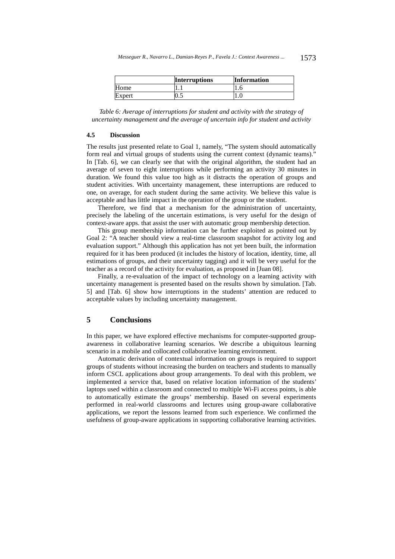|        | <b>Interruptions</b> | <b>Information</b> |
|--------|----------------------|--------------------|
| Home   |                      |                    |
| Expert | ∪.J                  |                    |

*Table 6: Average of interruptions for student and activity with the strategy of uncertainty management and the average of uncertain info for student and activity* 

#### **4.5 Discussion**

The results just presented relate to Goal 1, namely, "The system should automatically form real and virtual groups of students using the current context (dynamic teams)." In [Tab. 6], we can clearly see that with the original algorithm, the student had an average of seven to eight interruptions while performing an activity 30 minutes in duration. We found this value too high as it distracts the operation of groups and student activities. With uncertainty management, these interruptions are reduced to one, on average, for each student during the same activity. We believe this value is acceptable and has little impact in the operation of the group or the student.

Therefore, we find that a mechanism for the administration of uncertainty, precisely the labeling of the uncertain estimations, is very useful for the design of context-aware apps. that assist the user with automatic group membership detection.

This group membership information can be further exploited as pointed out by Goal 2: "A teacher should view a real-time classroom snapshot for activity log and evaluation support." Although this application has not yet been built, the information required for it has been produced (it includes the history of location, identity, time, all estimations of groups, and their uncertainty tagging) and it will be very useful for the teacher as a record of the activity for evaluation, as proposed in [Juan 08].

Finally, a re-evaluation of the impact of technology on a learning activity with uncertainty management is presented based on the results shown by simulation. [Tab. 5] and [Tab. 6] show how interruptions in the students' attention are reduced to acceptable values by including uncertainty management.

# **5 Conclusions**

In this paper, we have explored effective mechanisms for computer-supported groupawareness in collaborative learning scenarios. We describe a ubiquitous learning scenario in a mobile and collocated collaborative learning environment.

Automatic derivation of contextual information on groups is required to support groups of students without increasing the burden on teachers and students to manually inform CSCL applications about group arrangements. To deal with this problem, we implemented a service that, based on relative location information of the students' laptops used within a classroom and connected to multiple Wi-Fi access points, is able to automatically estimate the groups' membership. Based on several experiments performed in real-world classrooms and lectures using group-aware collaborative applications, we report the lessons learned from such experience. We confirmed the usefulness of group-aware applications in supporting collaborative learning activities.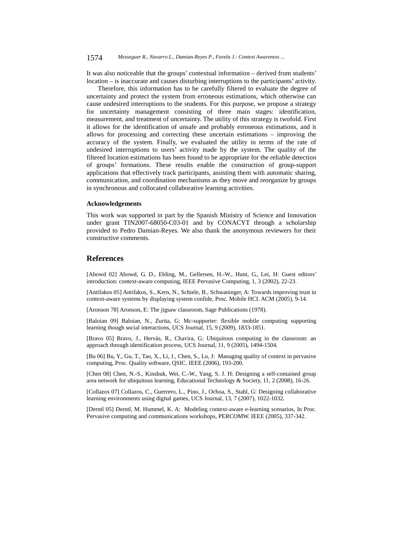#### 1574 *Messeguer R., Navarro L., Damian-Reyes P., Favela J.: Context Awareness ...*

It was also noticeable that the groups' contextual information – derived from students' location – is inaccurate and causes disturbing interruptions to the participants' activity.

Therefore, this information has to be carefully filtered to evaluate the degree of uncertainty and protect the system from erroneous estimations, which otherwise can cause undesired interruptions to the students. For this purpose, we propose a strategy for uncertainty management consisting of three main stages: identification, measurement, and treatment of uncertainty. The utility of this strategy is twofold. First it allows for the identification of unsafe and probably erroneous estimations, and it allows for processing and correcting these uncertain estimations – improving the accuracy of the system. Finally, we evaluated the utility in terms of the rate of undesired interruptions to users' activity made by the system. The quality of the filtered location estimations has been found to be appropriate for the reliable detection of groups' formations. These results enable the construction of group-support applications that effectively track participants, assisting them with automatic sharing, communication, and coordination mechanisms as they move and reorganize by groups in synchronous and collocated collaborative learning activities.

#### **Acknowledgements**

This work was supported in part by the Spanish Ministry of Science and Innovation under grant TIN2007-68050-C03-01 and by CONACYT through a scholarship provided to Pedro Damian-Reyes. We also thank the anonymous reviewers for their constructive comments.

#### **References**

[Abowd 02] Abowd, G. D., Ebling, M., Gellersen, H.-W., Hunt, G., Lei, H: Guest editors' introduction: context-aware computing, IEEE Pervasive Computing, 1, 3 (2002), 22-23.

[Antifakos 05] Antifakos, S., Kern, N., Schiele, B., Schwaninger, A: Towards improving trust in context-aware systems by displaying system confide, Proc. Mobile HCI. ACM (2005), 9-14.

[Aronson 78] Aronson, E: The jigsaw classroom, Sage Publications (1978).

[Baloian 09] Baloian, N., Zurita, G: Mc-supporter: flexible mobile computing supporting learning though social interactions, UCS Journal, 15, 9 (2009), 1833-1851.

[Bravo 05] Bravo, J., Hervás, R., Chavira, G: Ubiquitous computing in the classroom: an approach through identification process, UCS Journal, 11, 9 (2005), 1494-1504.

[Bu 06] Bu, Y., Gu, T., Tao, X., Li, J., Chen, S., Lu, J: Managing quality of context in pervasive computing, Proc. Quality software, QSIC. IEEE (2006), 193-200.

[Chen 08] Chen, N.-S., Kinshuk, Wei, C.-W., Yang, S. J. H: Designing a self-contained group area network for ubiquitous learning, Educational Technology & Society, 11, 2 (2008), 16-26.

[Collazos 07] Collazos, C., Guerrero, L., Pino, J., Ochoa, S., Stahl, G: Designing collaborative learning environments using digital games, UCS Journal, 13, 7 (2007), 1022-1032.

[Derntl 05] Derntl, M. Hummel, K. A: Modeling context-aware e-learning scenarios, In Proc. Pervasive computing and communications workshops, PERCOMW. IEEE (2005), 337-342.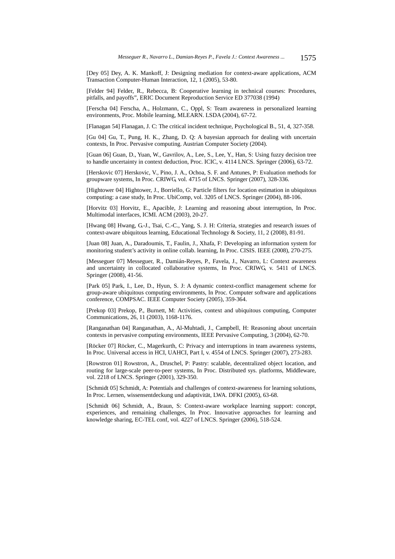[Dey 05] Dey, A. K. Mankoff, J: Designing mediation for context-aware applications, ACM Transaction Computer-Human Interaction, 12, 1 (2005), 53-80.

[Felder 94] Felder, R., Rebecca, B: Cooperative learning in technical courses: Procedures, pitfalls, and payoffs", ERIC Document Reproduction Service ED 377038 (1994)

[Ferscha 04] Ferscha, A., Holzmann, C., Oppl, S: Team awareness in personalized learning environments, Proc. Mobile learning, MLEARN. LSDA (2004), 67-72.

[Flanagan 54] Flanagan, J. C: The critical incident technique, Psychological B., 51, 4, 327-358.

[Gu 04] Gu, T., Pung, H. K., Zhang, D. Q: A bayesian approach for dealing with uncertain contexts, In Proc. Pervasive computing. Austrian Computer Society (2004).

[Guan 06] Guan, D., Yuan, W., Gavrilov, A., Lee, S., Lee, Y., Han, S: Using fuzzy decision tree to handle uncertainty in context deduction, Proc. ICIC, v. 4114 LNCS. Springer (2006), 63-72.

[Herskovic 07] Herskovic, V., Pino, J. A., Ochoa, S. F. and Antunes, P: Evaluation methods for groupware systems, In Proc. CRIWG, vol. 4715 of LNCS. Springer (2007), 328-336.

[Hightower 04] Hightower, J., Borriello, G: Particle filters for location estimation in ubiquitous computing: a case study, In Proc. UbiComp, vol. 3205 of LNCS. Springer (2004), 88-106.

[Horvitz 03] Horvitz, E., Apacible, J: Learning and reasoning about interruption, In Proc. Multimodal interfaces, ICMI. ACM (2003), 20-27.

[Hwang 08] Hwang, G.-J., Tsai, C.-C., Yang, S. J. H: Criteria, strategies and research issues of context-aware ubiquitous learning, Educational Technology & Society, 11, 2 (2008), 81-91.

[Juan 08] Juan, A., Daradoumis, T., Faulin, J., Xhafa, F: Developing an information system for monitoring student's activity in online collab. learning, In Proc. CISIS. IEEE (2008), 270-275.

[Messeguer 07] Messeguer, R., Damián-Reyes, P., Favela, J., Navarro, L: Context awareness and uncertainty in collocated collaborative systems, In Proc. CRIWG, v. 5411 of LNCS. Springer (2008), 41-56.

[Park 05] Park, I., Lee, D., Hyun, S. J: A dynamic context-conflict management scheme for group-aware ubiquitous computing environments, In Proc. Computer software and applications conference, COMPSAC. IEEE Computer Society (2005), 359-364.

[Prekop 03] Prekop, P., Burnett, M: Activities, context and ubiquitous computing, Computer Communications, 26, 11 (2003), 1168-1176.

[Ranganathan 04] Ranganathan, A., Al-Muhtadi, J., Campbell, H: Reasoning about uncertain contexts in pervasive computing environments, IEEE Pervasive Computing, 3 (2004), 62-70.

[Röcker 07] Röcker, C., Magerkurth, C: Privacy and interruptions in team awareness systems, In Proc. Universal access in HCI, UAHCI, Part I, v. 4554 of LNCS. Springer (2007), 273-283.

[Rowstron 01] Rowstron, A., Druschel, P: Pastry: scalable, decentralized object location, and routing for large-scale peer-to-peer systems, In Proc. Distributed sys. platforms, Middleware, vol. 2218 of LNCS. Springer (2001), 329-350.

[Schmidt 05] Schmidt, A: Potentials and challenges of context-awareness for learning solutions, In Proc. Lernen, wissensentdeckung und adaptivität, LWA. DFKI (2005), 63-68.

[Schmidt 06] Schmidt, A., Braun, S: Context-aware workplace learning support: concept, experiences, and remaining challenges, In Proc. Innovative approaches for learning and knowledge sharing, EC-TEL conf, vol. 4227 of LNCS. Springer (2006), 518-524.